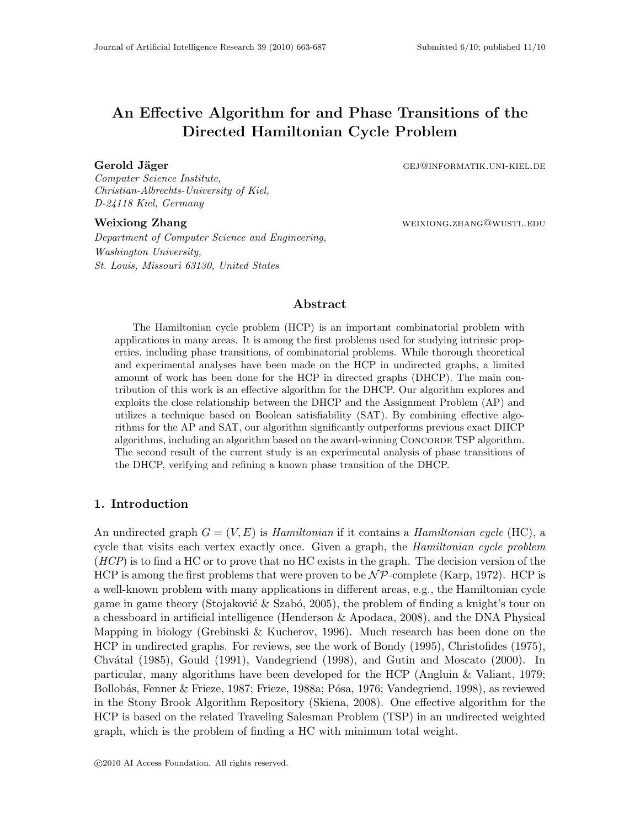# An Effective Algorithm for and Phase Transitions of the Directed Hamiltonian Cycle Problem

Gerold Jäger Gej@informatik.uni-kiel.de

Computer Science Institute, Christian-Albrechts-University of Kiel, D-24118 Kiel, Germany

Department of Computer Science and Engineering, Washington University, St. Louis, Missouri 63130, United States

Weixiong Zhang **Weixiong Zhang weixiong Lines** weixiong.zhang@wustl.edu

# Abstract

The Hamiltonian cycle problem (HCP) is an important combinatorial problem with applications in many areas. It is among the first problems used for studying intrinsic properties, including phase transitions, of combinatorial problems. While thorough theoretical and experimental analyses have been made on the HCP in undirected graphs, a limited amount of work has been done for the HCP in directed graphs (DHCP). The main contribution of this work is an effective algorithm for the DHCP. Our algorithm explores and exploits the close relationship between the DHCP and the Assignment Problem (AP) and utilizes a technique based on Boolean satisfiability (SAT). By combining effective algorithms for the AP and SAT, our algorithm significantly outperforms previous exact DHCP algorithms, including an algorithm based on the award-winning Concorde TSP algorithm. The second result of the current study is an experimental analysis of phase transitions of the DHCP, verifying and refining a known phase transition of the DHCP.

### 1. Introduction

An undirected graph  $G = (V, E)$  is Hamiltonian if it contains a Hamiltonian cycle (HC), a cycle that visits each vertex exactly once. Given a graph, the *Hamiltonian cycle problem*  $(HCP)$  is to find a HC or to prove that no HC exists in the graph. The decision version of the HCP is among the first problems that were proven to be  $\mathcal{NP}$ -complete (Karp, 1972). HCP is a well-known problem with many applications in different areas, e.g., the Hamiltonian cycle game in game theory (Stojaković  $\&$  Szabó, 2005), the problem of finding a knight's tour on a chessboard in artificial intelligence (Henderson & Apodaca, 2008), and the DNA Physical Mapping in biology (Grebinski & Kucherov, 1996). Much research has been done on the HCP in undirected graphs. For reviews, see the work of Bondy (1995), Christofides (1975), Chv´atal (1985), Gould (1991), Vandegriend (1998), and Gutin and Moscato (2000). In particular, many algorithms have been developed for the HCP (Angluin & Valiant, 1979; Bollobás, Fenner & Frieze, 1987; Frieze, 1988a; Pósa, 1976; Vandegriend, 1998), as reviewed in the Stony Brook Algorithm Repository (Skiena, 2008). One effective algorithm for the HCP is based on the related Traveling Salesman Problem (TSP) in an undirected weighted graph, which is the problem of finding a HC with minimum total weight.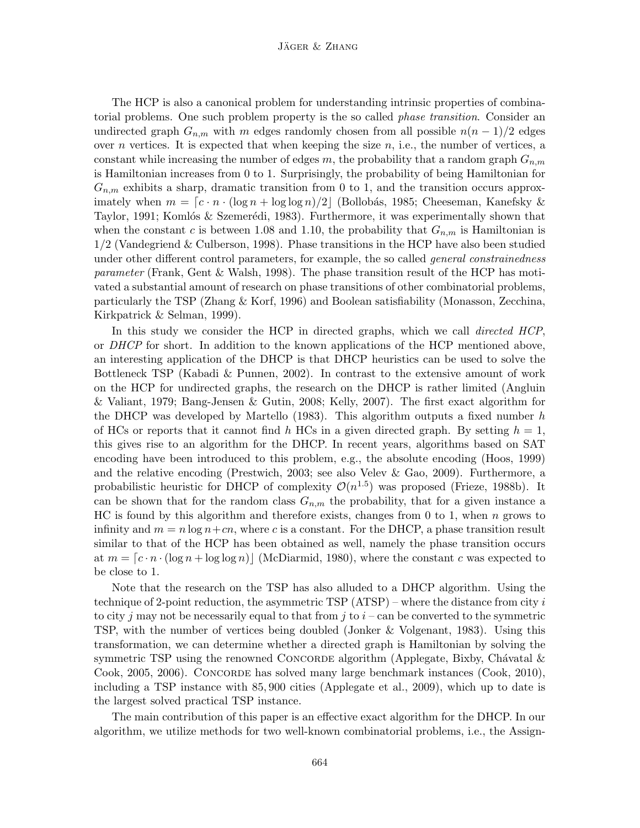The HCP is also a canonical problem for understanding intrinsic properties of combinatorial problems. One such problem property is the so called *phase transition*. Consider an undirected graph  $G_{n,m}$  with m edges randomly chosen from all possible  $n(n-1)/2$  edges over n vertices. It is expected that when keeping the size  $n$ , i.e., the number of vertices, a constant while increasing the number of edges m, the probability that a random graph  $G_{n,m}$ is Hamiltonian increases from 0 to 1. Surprisingly, the probability of being Hamiltonian for  $G_{n,m}$  exhibits a sharp, dramatic transition from 0 to 1, and the transition occurs approximately when  $m = [c \cdot n \cdot (\log n + \log \log n)/2]$  (Bollobás, 1985; Cheeseman, Kanefsky & Taylor, 1991; Komlós & Szemerédi, 1983). Furthermore, it was experimentally shown that when the constant c is between 1.08 and 1.10, the probability that  $G_{n,m}$  is Hamiltonian is 1/2 (Vandegriend & Culberson, 1998). Phase transitions in the HCP have also been studied under other different control parameters, for example, the so called *general constrainedness* parameter (Frank, Gent & Walsh, 1998). The phase transition result of the HCP has motivated a substantial amount of research on phase transitions of other combinatorial problems, particularly the TSP (Zhang & Korf, 1996) and Boolean satisfiability (Monasson, Zecchina, Kirkpatrick & Selman, 1999).

In this study we consider the HCP in directed graphs, which we call *directed HCP*, or DHCP for short. In addition to the known applications of the HCP mentioned above, an interesting application of the DHCP is that DHCP heuristics can be used to solve the Bottleneck TSP (Kabadi & Punnen, 2002). In contrast to the extensive amount of work on the HCP for undirected graphs, the research on the DHCP is rather limited (Angluin & Valiant, 1979; Bang-Jensen & Gutin, 2008; Kelly, 2007). The first exact algorithm for the DHCP was developed by Martello (1983). This algorithm outputs a fixed number  $h$ of HCs or reports that it cannot find h HCs in a given directed graph. By setting  $h = 1$ , this gives rise to an algorithm for the DHCP. In recent years, algorithms based on SAT encoding have been introduced to this problem, e.g., the absolute encoding (Hoos, 1999) and the relative encoding (Prestwich, 2003; see also Velev & Gao, 2009). Furthermore, a probabilistic heuristic for DHCP of complexity  $\mathcal{O}(n^{1.5})$  was proposed (Frieze, 1988b). It can be shown that for the random class  $G_{n,m}$  the probability, that for a given instance a HC is found by this algorithm and therefore exists, changes from 0 to 1, when  $n$  grows to infinity and  $m = n \log n + cn$ , where c is a constant. For the DHCP, a phase transition result similar to that of the HCP has been obtained as well, namely the phase transition occurs at  $m = [c \cdot n \cdot (\log n + \log \log n)]$  (McDiarmid, 1980), where the constant c was expected to be close to 1.

Note that the research on the TSP has also alluded to a DHCP algorithm. Using the technique of 2-point reduction, the asymmetric TSP  $(ATSP)$  – where the distance from city i to city j may not be necessarily equal to that from j to  $i$  – can be converted to the symmetric TSP, with the number of vertices being doubled (Jonker & Volgenant, 1983). Using this transformation, we can determine whether a directed graph is Hamiltonian by solving the symmetric TSP using the renowned CONCORDE algorithm (Applegate, Bixby, Chávatal  $\&$ Cook, 2005, 2006). CONCORDE has solved many large benchmark instances (Cook, 2010), including a TSP instance with 85, 900 cities (Applegate et al., 2009), which up to date is the largest solved practical TSP instance.

The main contribution of this paper is an effective exact algorithm for the DHCP. In our algorithm, we utilize methods for two well-known combinatorial problems, i.e., the Assign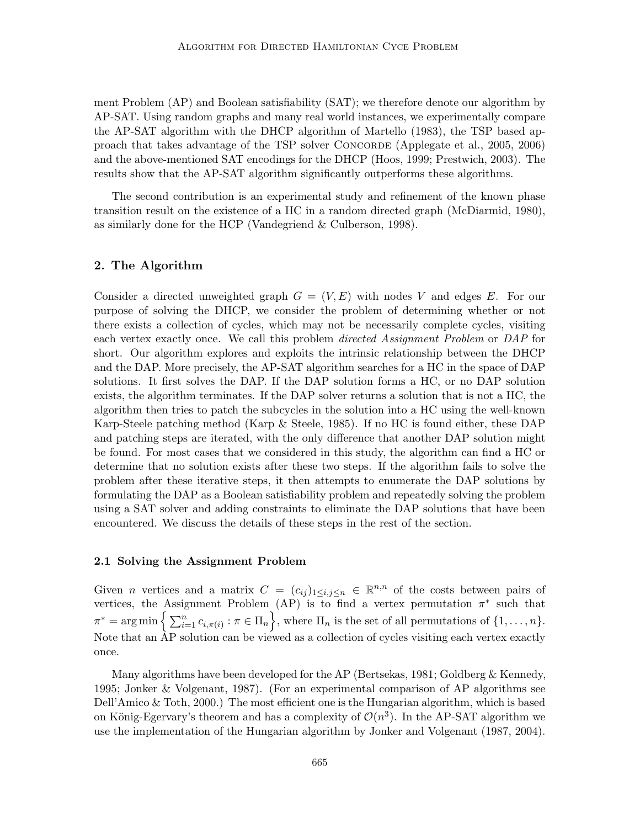ment Problem (AP) and Boolean satisfiability (SAT); we therefore denote our algorithm by AP-SAT. Using random graphs and many real world instances, we experimentally compare the AP-SAT algorithm with the DHCP algorithm of Martello (1983), the TSP based approach that takes advantage of the TSP solver Concorde (Applegate et al., 2005, 2006) and the above-mentioned SAT encodings for the DHCP (Hoos, 1999; Prestwich, 2003). The results show that the AP-SAT algorithm significantly outperforms these algorithms.

The second contribution is an experimental study and refinement of the known phase transition result on the existence of a HC in a random directed graph (McDiarmid, 1980), as similarly done for the HCP (Vandegriend & Culberson, 1998).

# 2. The Algorithm

Consider a directed unweighted graph  $G = (V, E)$  with nodes V and edges E. For our purpose of solving the DHCP, we consider the problem of determining whether or not there exists a collection of cycles, which may not be necessarily complete cycles, visiting each vertex exactly once. We call this problem *directed Assignment Problem* or *DAP* for short. Our algorithm explores and exploits the intrinsic relationship between the DHCP and the DAP. More precisely, the AP-SAT algorithm searches for a HC in the space of DAP solutions. It first solves the DAP. If the DAP solution forms a HC, or no DAP solution exists, the algorithm terminates. If the DAP solver returns a solution that is not a HC, the algorithm then tries to patch the subcycles in the solution into a HC using the well-known Karp-Steele patching method (Karp & Steele, 1985). If no HC is found either, these DAP and patching steps are iterated, with the only difference that another DAP solution might be found. For most cases that we considered in this study, the algorithm can find a HC or determine that no solution exists after these two steps. If the algorithm fails to solve the problem after these iterative steps, it then attempts to enumerate the DAP solutions by formulating the DAP as a Boolean satisfiability problem and repeatedly solving the problem using a SAT solver and adding constraints to eliminate the DAP solutions that have been encountered. We discuss the details of these steps in the rest of the section.

#### 2.1 Solving the Assignment Problem

Given *n* vertices and a matrix  $C = (c_{ij})_{1 \le i,j \le n} \in \mathbb{R}^{n,n}$  of the costs between pairs of vertices, the Assignment Problem (AP) is to find a vertex permutation  $\pi^*$  such that  $\pi^* = \arg \min \Big\{ \sum_{i=1}^n c_{i,\pi(i)} : \pi \in \Pi_n \Big\}$ , where  $\Pi_n$  is the set of all permutations of  $\{1, \ldots, n\}$ . Note that an AP solution can be viewed as a collection of cycles visiting each vertex exactly once.

Many algorithms have been developed for the AP (Bertsekas, 1981; Goldberg & Kennedy, 1995; Jonker & Volgenant, 1987). (For an experimental comparison of AP algorithms see Dell'Amico & Toth, 2000.) The most efficient one is the Hungarian algorithm, which is based on König-Egervary's theorem and has a complexity of  $\mathcal{O}(n^3)$ . In the AP-SAT algorithm we use the implementation of the Hungarian algorithm by Jonker and Volgenant (1987, 2004).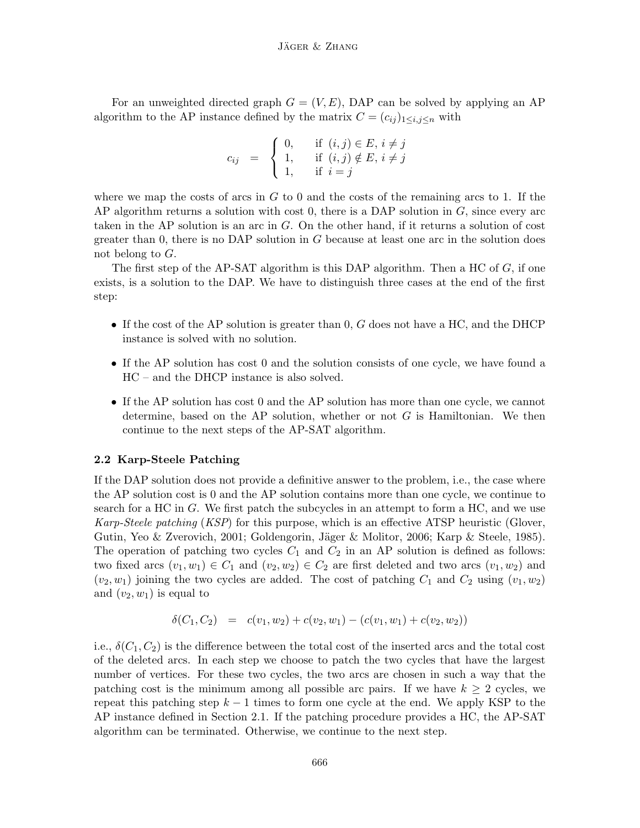For an unweighted directed graph  $G = (V, E)$ , DAP can be solved by applying an AP algorithm to the AP instance defined by the matrix  $C = (c_{ij})_{1 \le i,j \le n}$  with

$$
c_{ij} = \begin{cases} 0, & \text{if } (i,j) \in E, i \neq j \\ 1, & \text{if } (i,j) \notin E, i \neq j \\ 1, & \text{if } i = j \end{cases}
$$

where we map the costs of arcs in  $G$  to 0 and the costs of the remaining arcs to 1. If the AP algorithm returns a solution with cost  $0$ , there is a DAP solution in  $G$ , since every arc taken in the AP solution is an arc in  $G$ . On the other hand, if it returns a solution of cost greater than 0, there is no DAP solution in  $G$  because at least one arc in the solution does not belong to G.

The first step of the AP-SAT algorithm is this DAP algorithm. Then a HC of  $G$ , if one exists, is a solution to the DAP. We have to distinguish three cases at the end of the first step:

- If the cost of the AP solution is greater than  $0, G$  does not have a HC, and the DHCP instance is solved with no solution.
- If the AP solution has cost 0 and the solution consists of one cycle, we have found a HC – and the DHCP instance is also solved.
- If the AP solution has cost 0 and the AP solution has more than one cycle, we cannot determine, based on the AP solution, whether or not  $G$  is Hamiltonian. We then continue to the next steps of the AP-SAT algorithm.

### 2.2 Karp-Steele Patching

If the DAP solution does not provide a definitive answer to the problem, i.e., the case where the AP solution cost is 0 and the AP solution contains more than one cycle, we continue to search for a HC in G. We first patch the subcycles in an attempt to form a HC, and we use Karp-Steele patching (KSP) for this purpose, which is an effective ATSP heuristic (Glover, Gutin, Yeo & Zverovich, 2001; Goldengorin, Jäger & Molitor, 2006; Karp & Steele, 1985). The operation of patching two cycles  $C_1$  and  $C_2$  in an AP solution is defined as follows: two fixed arcs  $(v_1, w_1) \in C_1$  and  $(v_2, w_2) \in C_2$  are first deleted and two arcs  $(v_1, w_2)$  and  $(v_2, w_1)$  joining the two cycles are added. The cost of patching  $C_1$  and  $C_2$  using  $(v_1, w_2)$ and  $(v_2, w_1)$  is equal to

$$
\delta(C_1, C_2) = c(v_1, w_2) + c(v_2, w_1) - (c(v_1, w_1) + c(v_2, w_2))
$$

i.e.,  $\delta(C_1, C_2)$  is the difference between the total cost of the inserted arcs and the total cost of the deleted arcs. In each step we choose to patch the two cycles that have the largest number of vertices. For these two cycles, the two arcs are chosen in such a way that the patching cost is the minimum among all possible arc pairs. If we have  $k \geq 2$  cycles, we repeat this patching step  $k-1$  times to form one cycle at the end. We apply KSP to the AP instance defined in Section 2.1. If the patching procedure provides a HC, the AP-SAT algorithm can be terminated. Otherwise, we continue to the next step.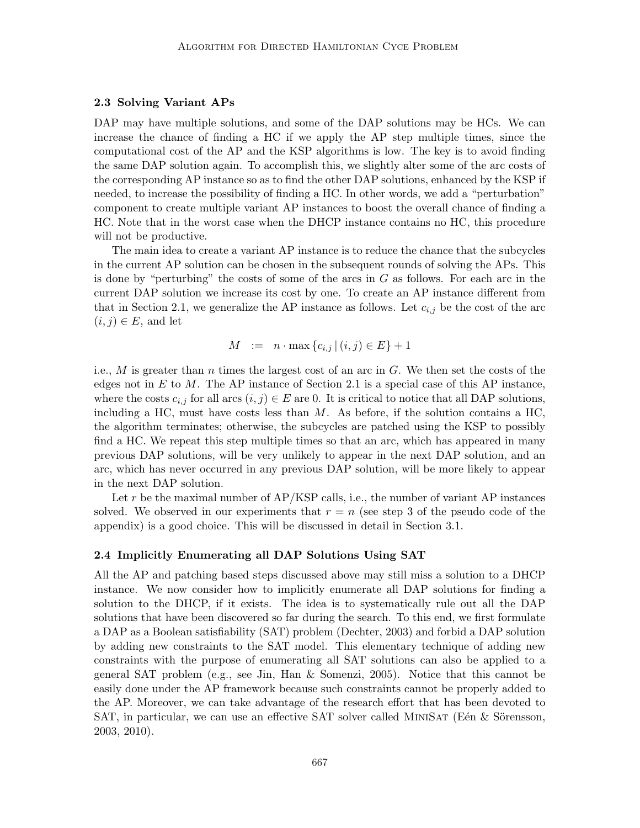#### 2.3 Solving Variant APs

DAP may have multiple solutions, and some of the DAP solutions may be HCs. We can increase the chance of finding a HC if we apply the AP step multiple times, since the computational cost of the AP and the KSP algorithms is low. The key is to avoid finding the same DAP solution again. To accomplish this, we slightly alter some of the arc costs of the corresponding AP instance so as to find the other DAP solutions, enhanced by the KSP if needed, to increase the possibility of finding a HC. In other words, we add a "perturbation" component to create multiple variant AP instances to boost the overall chance of finding a HC. Note that in the worst case when the DHCP instance contains no HC, this procedure will not be productive.

The main idea to create a variant AP instance is to reduce the chance that the subcycles in the current AP solution can be chosen in the subsequent rounds of solving the APs. This is done by "perturbing" the costs of some of the arcs in  $G$  as follows. For each arc in the current DAP solution we increase its cost by one. To create an AP instance different from that in Section 2.1, we generalize the AP instance as follows. Let  $c_{i,j}$  be the cost of the arc  $(i, j) \in E$ , and let

$$
M := n \cdot \max\{c_{i,j} \mid (i,j) \in E\} + 1
$$

i.e., M is greater than n times the largest cost of an arc in  $G$ . We then set the costs of the edges not in  $E$  to  $M$ . The AP instance of Section 2.1 is a special case of this AP instance, where the costs  $c_{i,j}$  for all arcs  $(i,j) \in E$  are 0. It is critical to notice that all DAP solutions, including a HC, must have costs less than  $M$ . As before, if the solution contains a HC, the algorithm terminates; otherwise, the subcycles are patched using the KSP to possibly find a HC. We repeat this step multiple times so that an arc, which has appeared in many previous DAP solutions, will be very unlikely to appear in the next DAP solution, and an arc, which has never occurred in any previous DAP solution, will be more likely to appear in the next DAP solution.

Let r be the maximal number of  $AP/KSP$  calls, i.e., the number of variant AP instances solved. We observed in our experiments that  $r = n$  (see step 3 of the pseudo code of the appendix) is a good choice. This will be discussed in detail in Section 3.1.

#### 2.4 Implicitly Enumerating all DAP Solutions Using SAT

All the AP and patching based steps discussed above may still miss a solution to a DHCP instance. We now consider how to implicitly enumerate all DAP solutions for finding a solution to the DHCP, if it exists. The idea is to systematically rule out all the DAP solutions that have been discovered so far during the search. To this end, we first formulate a DAP as a Boolean satisfiability (SAT) problem (Dechter, 2003) and forbid a DAP solution by adding new constraints to the SAT model. This elementary technique of adding new constraints with the purpose of enumerating all SAT solutions can also be applied to a general SAT problem (e.g., see Jin, Han & Somenzi, 2005). Notice that this cannot be easily done under the AP framework because such constraints cannot be properly added to the AP. Moreover, we can take advantage of the research effort that has been devoted to SAT, in particular, we can use an effective SAT solver called MINISAT (Eén  $&$  Sörensson, 2003, 2010).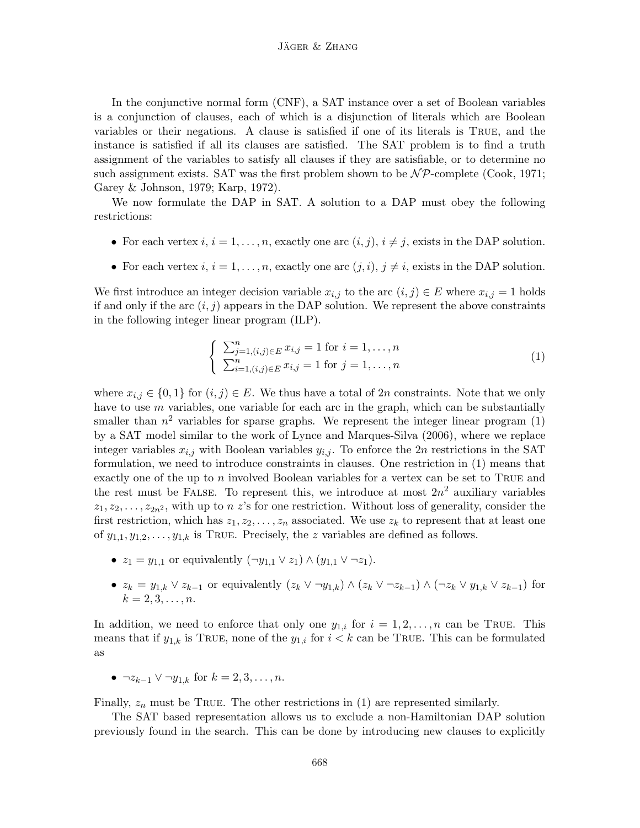In the conjunctive normal form (CNF), a SAT instance over a set of Boolean variables is a conjunction of clauses, each of which is a disjunction of literals which are Boolean variables or their negations. A clause is satisfied if one of its literals is True, and the instance is satisfied if all its clauses are satisfied. The SAT problem is to find a truth assignment of the variables to satisfy all clauses if they are satisfiable, or to determine no such assignment exists. SAT was the first problem shown to be  $\mathcal{NP}$ -complete (Cook, 1971; Garey & Johnson, 1979; Karp, 1972).

We now formulate the DAP in SAT. A solution to a DAP must obey the following restrictions:

- For each vertex  $i, i = 1, \ldots, n$ , exactly one arc  $(i, j), i \neq j$ , exists in the DAP solution.
- For each vertex  $i, i = 1, \ldots, n$ , exactly one arc  $(j, i), j \neq i$ , exists in the DAP solution.

We first introduce an integer decision variable  $x_{i,j}$  to the arc  $(i,j) \in E$  where  $x_{i,j} = 1$  holds if and only if the arc  $(i, j)$  appears in the DAP solution. We represent the above constraints in the following integer linear program (ILP).

$$
\begin{cases} \sum_{j=1, (i,j)\in E}^{n} x_{i,j} = 1 \text{ for } i = 1, \dots, n \\ \sum_{i=1, (i,j)\in E}^{n} x_{i,j} = 1 \text{ for } j = 1, \dots, n \end{cases}
$$
 (1)

where  $x_{i,j} \in \{0,1\}$  for  $(i,j) \in E$ . We thus have a total of 2n constraints. Note that we only have to use  $m$  variables, one variable for each arc in the graph, which can be substantially smaller than  $n^2$  variables for sparse graphs. We represent the integer linear program  $(1)$ by a SAT model similar to the work of Lynce and Marques-Silva (2006), where we replace integer variables  $x_{i,j}$  with Boolean variables  $y_{i,j}$ . To enforce the 2n restrictions in the SAT formulation, we need to introduce constraints in clauses. One restriction in (1) means that exactly one of the up to  $n$  involved Boolean variables for a vertex can be set to TRUE and the rest must be FALSE. To represent this, we introduce at most  $2n^2$  auxiliary variables  $z_1, z_2, \ldots, z_{2n^2}$ , with up to n z's for one restriction. Without loss of generality, consider the first restriction, which has  $z_1, z_2, \ldots, z_n$  associated. We use  $z_k$  to represent that at least one of  $y_{1,1}, y_{1,2}, \ldots, y_{1,k}$  is TRUE. Precisely, the z variables are defined as follows.

- $z_1 = y_{1,1}$  or equivalently  $(\neg y_{1,1} \lor z_1) \land (y_{1,1} \lor \neg z_1)$ .
- $z_k = y_{1,k} \vee z_{k-1}$  or equivalently  $(z_k \vee \neg y_{1,k}) \wedge (z_k \vee \neg z_{k-1}) \wedge (\neg z_k \vee y_{1,k} \vee z_{k-1})$  for  $k = 2, 3, \ldots, n$ .

In addition, we need to enforce that only one  $y_{1,i}$  for  $i = 1, 2, \ldots, n$  can be True. This means that if  $y_{1,k}$  is TRUE, none of the  $y_{1,i}$  for  $i < k$  can be TRUE. This can be formulated as

•  $\neg z_{k-1} \lor \neg y_{1,k}$  for  $k = 2, 3, ..., n$ .

Finally,  $z_n$  must be TRUE. The other restrictions in (1) are represented similarly.

The SAT based representation allows us to exclude a non-Hamiltonian DAP solution previously found in the search. This can be done by introducing new clauses to explicitly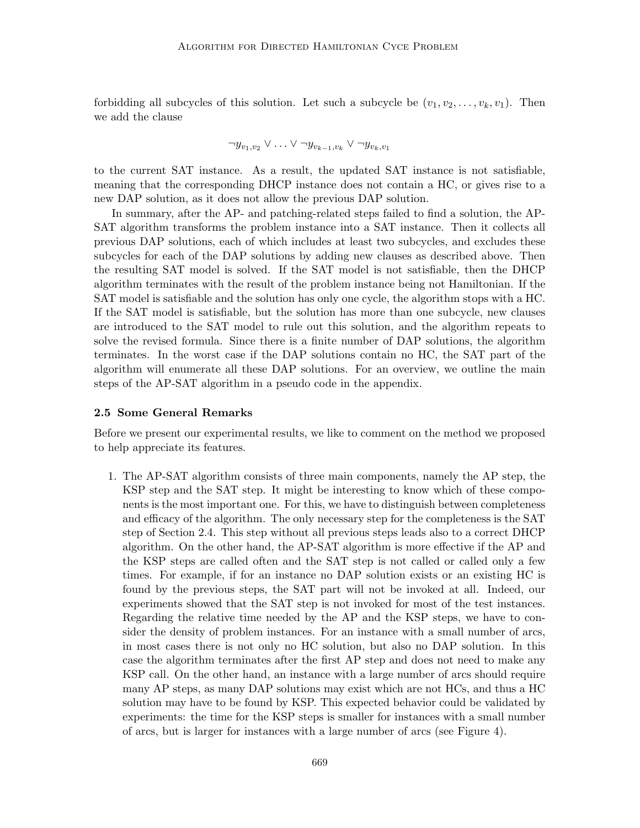forbidding all subcycles of this solution. Let such a subcycle be  $(v_1, v_2, \ldots, v_k, v_1)$ . Then we add the clause

$$
\neg y_{v_1,v_2} \vee \ldots \vee \neg y_{v_{k-1},v_k} \vee \neg y_{v_k,v_1}
$$

to the current SAT instance. As a result, the updated SAT instance is not satisfiable, meaning that the corresponding DHCP instance does not contain a HC, or gives rise to a new DAP solution, as it does not allow the previous DAP solution.

In summary, after the AP- and patching-related steps failed to find a solution, the AP-SAT algorithm transforms the problem instance into a SAT instance. Then it collects all previous DAP solutions, each of which includes at least two subcycles, and excludes these subcycles for each of the DAP solutions by adding new clauses as described above. Then the resulting SAT model is solved. If the SAT model is not satisfiable, then the DHCP algorithm terminates with the result of the problem instance being not Hamiltonian. If the SAT model is satisfiable and the solution has only one cycle, the algorithm stops with a HC. If the SAT model is satisfiable, but the solution has more than one subcycle, new clauses are introduced to the SAT model to rule out this solution, and the algorithm repeats to solve the revised formula. Since there is a finite number of DAP solutions, the algorithm terminates. In the worst case if the DAP solutions contain no HC, the SAT part of the algorithm will enumerate all these DAP solutions. For an overview, we outline the main steps of the AP-SAT algorithm in a pseudo code in the appendix.

#### 2.5 Some General Remarks

Before we present our experimental results, we like to comment on the method we proposed to help appreciate its features.

1. The AP-SAT algorithm consists of three main components, namely the AP step, the KSP step and the SAT step. It might be interesting to know which of these components is the most important one. For this, we have to distinguish between completeness and efficacy of the algorithm. The only necessary step for the completeness is the SAT step of Section 2.4. This step without all previous steps leads also to a correct DHCP algorithm. On the other hand, the AP-SAT algorithm is more effective if the AP and the KSP steps are called often and the SAT step is not called or called only a few times. For example, if for an instance no DAP solution exists or an existing HC is found by the previous steps, the SAT part will not be invoked at all. Indeed, our experiments showed that the SAT step is not invoked for most of the test instances. Regarding the relative time needed by the AP and the KSP steps, we have to consider the density of problem instances. For an instance with a small number of arcs, in most cases there is not only no HC solution, but also no DAP solution. In this case the algorithm terminates after the first AP step and does not need to make any KSP call. On the other hand, an instance with a large number of arcs should require many AP steps, as many DAP solutions may exist which are not HCs, and thus a HC solution may have to be found by KSP. This expected behavior could be validated by experiments: the time for the KSP steps is smaller for instances with a small number of arcs, but is larger for instances with a large number of arcs (see Figure 4).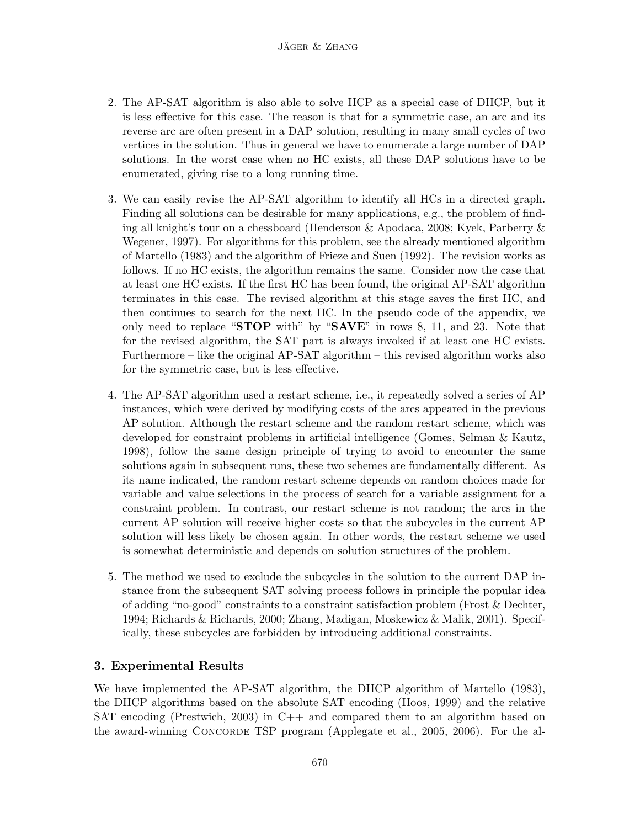- 2. The AP-SAT algorithm is also able to solve HCP as a special case of DHCP, but it is less effective for this case. The reason is that for a symmetric case, an arc and its reverse arc are often present in a DAP solution, resulting in many small cycles of two vertices in the solution. Thus in general we have to enumerate a large number of DAP solutions. In the worst case when no HC exists, all these DAP solutions have to be enumerated, giving rise to a long running time.
- 3. We can easily revise the AP-SAT algorithm to identify all HCs in a directed graph. Finding all solutions can be desirable for many applications, e.g., the problem of finding all knight's tour on a chessboard (Henderson & Apodaca, 2008; Kyek, Parberry & Wegener, 1997). For algorithms for this problem, see the already mentioned algorithm of Martello (1983) and the algorithm of Frieze and Suen (1992). The revision works as follows. If no HC exists, the algorithm remains the same. Consider now the case that at least one HC exists. If the first HC has been found, the original AP-SAT algorithm terminates in this case. The revised algorithm at this stage saves the first HC, and then continues to search for the next HC. In the pseudo code of the appendix, we only need to replace " $\textbf{STOP}$  with" by " $\textbf{SAVE}$ " in rows 8, 11, and 23. Note that for the revised algorithm, the SAT part is always invoked if at least one HC exists. Furthermore – like the original AP-SAT algorithm – this revised algorithm works also for the symmetric case, but is less effective.
- 4. The AP-SAT algorithm used a restart scheme, i.e., it repeatedly solved a series of AP instances, which were derived by modifying costs of the arcs appeared in the previous AP solution. Although the restart scheme and the random restart scheme, which was developed for constraint problems in artificial intelligence (Gomes, Selman & Kautz, 1998), follow the same design principle of trying to avoid to encounter the same solutions again in subsequent runs, these two schemes are fundamentally different. As its name indicated, the random restart scheme depends on random choices made for variable and value selections in the process of search for a variable assignment for a constraint problem. In contrast, our restart scheme is not random; the arcs in the current AP solution will receive higher costs so that the subcycles in the current AP solution will less likely be chosen again. In other words, the restart scheme we used is somewhat deterministic and depends on solution structures of the problem.
- 5. The method we used to exclude the subcycles in the solution to the current DAP instance from the subsequent SAT solving process follows in principle the popular idea of adding "no-good" constraints to a constraint satisfaction problem (Frost & Dechter, 1994; Richards & Richards, 2000; Zhang, Madigan, Moskewicz & Malik, 2001). Specifically, these subcycles are forbidden by introducing additional constraints.

# 3. Experimental Results

We have implemented the AP-SAT algorithm, the DHCP algorithm of Martello (1983), the DHCP algorithms based on the absolute SAT encoding (Hoos, 1999) and the relative SAT encoding (Prestwich, 2003) in C++ and compared them to an algorithm based on the award-winning Concorde TSP program (Applegate et al., 2005, 2006). For the al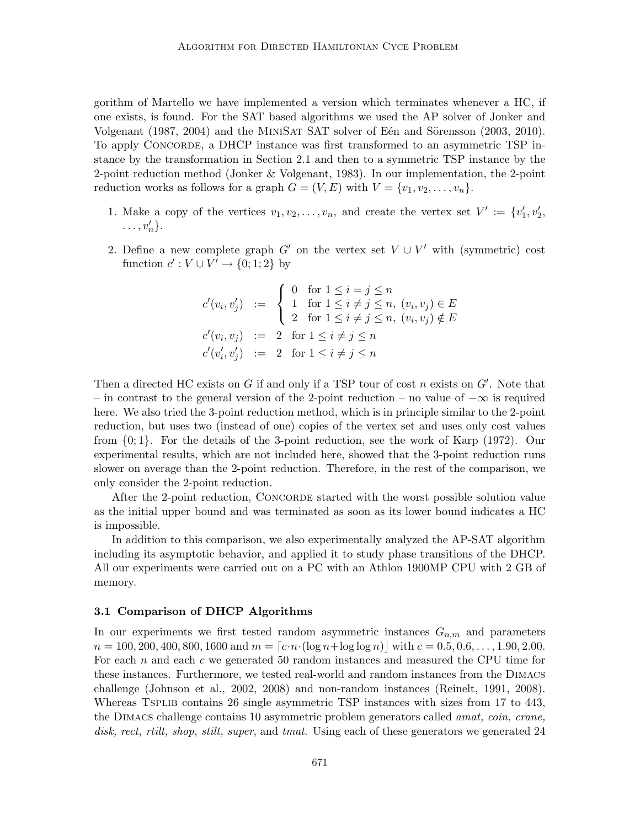gorithm of Martello we have implemented a version which terminates whenever a HC, if one exists, is found. For the SAT based algorithms we used the AP solver of Jonker and Volgenant (1987, 2004) and the MINISAT SAT solver of Eén and Sörensson (2003, 2010). To apply Concorde, a DHCP instance was first transformed to an asymmetric TSP instance by the transformation in Section 2.1 and then to a symmetric TSP instance by the 2-point reduction method (Jonker & Volgenant, 1983). In our implementation, the 2-point reduction works as follows for a graph  $G = (V, E)$  with  $V = \{v_1, v_2, \ldots, v_n\}.$ 

- 1. Make a copy of the vertices  $v_1, v_2, \ldots, v_n$ , and create the vertex set  $V' := \{v'_1, v'_2, \ldots, v'_n\}$  $\ldots, v'_n\}.$
- 2. Define a new complete graph  $G'$  on the vertex set  $V \cup V'$  with (symmetric) cost function  $c': V \cup V' \rightarrow \{0; 1; 2\}$  by

$$
c'(v_i, v'_j) := \begin{cases} 0 & \text{for } 1 \le i = j \le n \\ 1 & \text{for } 1 \le i \ne j \le n, \ (v_i, v_j) \in E \\ 2 & \text{for } 1 \le i \ne j \le n, \ (v_i, v_j) \notin E \end{cases}
$$
  

$$
c'(v_i, v_j) := 2 \text{ for } 1 \le i \ne j \le n
$$
  

$$
c'(v'_i, v'_j) := 2 \text{ for } 1 \le i \ne j \le n
$$

Then a directed HC exists on  $G$  if and only if a TSP tour of cost  $n$  exists on  $G'$ . Note that – in contrast to the general version of the 2-point reduction – no value of  $-\infty$  is required here. We also tried the 3-point reduction method, which is in principle similar to the 2-point reduction, but uses two (instead of one) copies of the vertex set and uses only cost values from {0; 1}. For the details of the 3-point reduction, see the work of Karp (1972). Our experimental results, which are not included here, showed that the 3-point reduction runs slower on average than the 2-point reduction. Therefore, in the rest of the comparison, we only consider the 2-point reduction.

After the 2-point reduction, CONCORDE started with the worst possible solution value as the initial upper bound and was terminated as soon as its lower bound indicates a HC is impossible.

In addition to this comparison, we also experimentally analyzed the AP-SAT algorithm including its asymptotic behavior, and applied it to study phase transitions of the DHCP. All our experiments were carried out on a PC with an Athlon 1900MP CPU with 2 GB of memory.

#### 3.1 Comparison of DHCP Algorithms

In our experiments we first tested random asymmetric instances  $G_{n,m}$  and parameters  $n = 100, 200, 400, 800, 1600$  and  $m = \lfloor c \cdot n \cdot (\log n + \log \log n) \rfloor$  with  $c = 0.5, 0.6, \ldots, 1.90, 2.00$ . For each  $n$  and each  $c$  we generated 50 random instances and measured the CPU time for these instances. Furthermore, we tested real-world and random instances from the Dimacs challenge (Johnson et al., 2002, 2008) and non-random instances (Reinelt, 1991, 2008). Whereas TSPLIB contains 26 single asymmetric TSP instances with sizes from 17 to 443, the DIMACS challenge contains 10 asymmetric problem generators called *amat, coin, crane,* disk, rect, rtilt, shop, stilt, super, and tmat. Using each of these generators we generated 24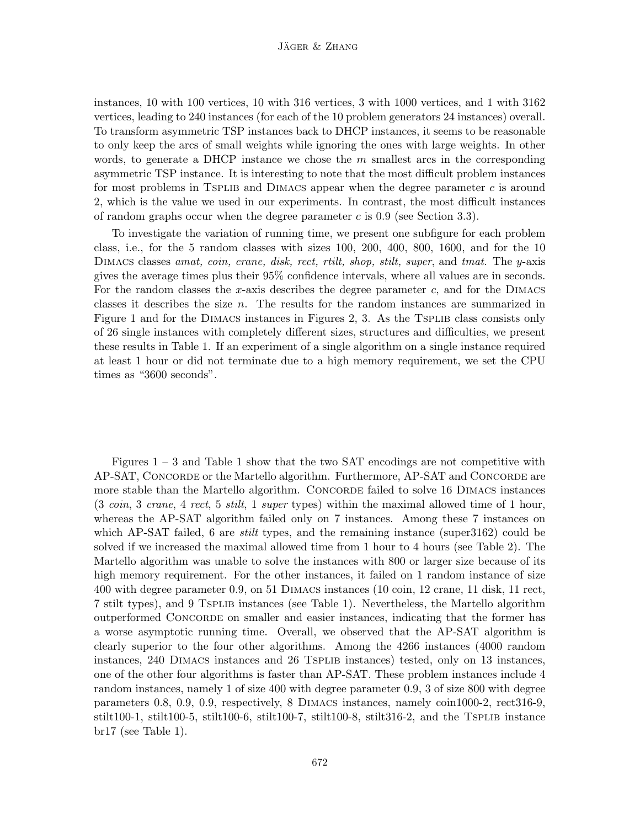instances, 10 with 100 vertices, 10 with 316 vertices, 3 with 1000 vertices, and 1 with 3162 vertices, leading to 240 instances (for each of the 10 problem generators 24 instances) overall. To transform asymmetric TSP instances back to DHCP instances, it seems to be reasonable to only keep the arcs of small weights while ignoring the ones with large weights. In other words, to generate a DHCP instance we chose the  $m$  smallest arcs in the corresponding asymmetric TSP instance. It is interesting to note that the most difficult problem instances for most problems in TSPLIB and DIMACS appear when the degree parameter  $c$  is around 2, which is the value we used in our experiments. In contrast, the most difficult instances of random graphs occur when the degree parameter  $c$  is 0.9 (see Section 3.3).

To investigate the variation of running time, we present one subfigure for each problem class, i.e., for the 5 random classes with sizes 100, 200, 400, 800, 1600, and for the 10 DIMACS classes amat, coin, crane, disk, rect, rtilt, shop, stilt, super, and tmat. The y-axis gives the average times plus their 95% confidence intervals, where all values are in seconds. For the random classes the x-axis describes the degree parameter  $c$ , and for the DIMACS classes it describes the size n. The results for the random instances are summarized in Figure 1 and for the DIMACS instances in Figures 2, 3. As the TSPLIB class consists only of 26 single instances with completely different sizes, structures and difficulties, we present these results in Table 1. If an experiment of a single algorithm on a single instance required at least 1 hour or did not terminate due to a high memory requirement, we set the CPU times as "3600 seconds".

Figures  $1 - 3$  and Table 1 show that the two SAT encodings are not competitive with AP-SAT, CONCORDE or the Martello algorithm. Furthermore, AP-SAT and CONCORDE are more stable than the Martello algorithm. CONCORDE failed to solve 16 DIMACS instances (3 coin, 3 crane, 4 rect, 5 stilt, 1 super types) within the maximal allowed time of 1 hour, whereas the AP-SAT algorithm failed only on 7 instances. Among these 7 instances on which AP-SAT failed, 6 are *stilt* types, and the remaining instance (super3162) could be solved if we increased the maximal allowed time from 1 hour to 4 hours (see Table 2). The Martello algorithm was unable to solve the instances with 800 or larger size because of its high memory requirement. For the other instances, it failed on 1 random instance of size 400 with degree parameter 0.9, on 51 Dimacs instances (10 coin, 12 crane, 11 disk, 11 rect, 7 stilt types), and 9 Tsplib instances (see Table 1). Nevertheless, the Martello algorithm outperformed Concorde on smaller and easier instances, indicating that the former has a worse asymptotic running time. Overall, we observed that the AP-SAT algorithm is clearly superior to the four other algorithms. Among the 4266 instances (4000 random instances, 240 Dimacs instances and 26 Tsplib instances) tested, only on 13 instances, one of the other four algorithms is faster than AP-SAT. These problem instances include 4 random instances, namely 1 of size 400 with degree parameter 0.9, 3 of size 800 with degree parameters 0.8, 0.9, 0.9, respectively, 8 Dimacs instances, namely coin1000-2, rect316-9, stilt100-1, stilt100-5, stilt100-6, stilt100-7, stilt100-8, stilt316-2, and the TSPLIB instance  $\rm br17$  (see Table 1).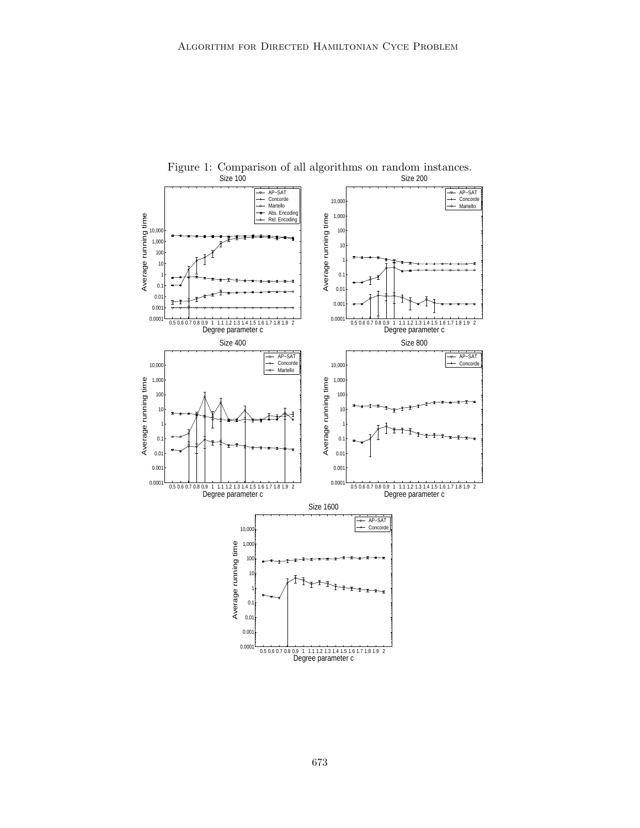

Figure 1: Comparison of all algorithms on random instances.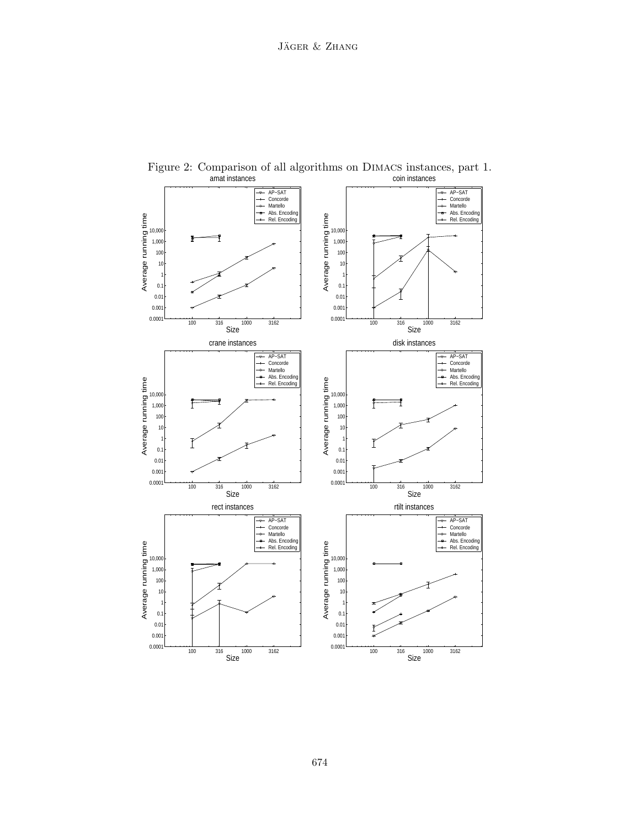

Figure 2: Comparison of all algorithms on Dimacs instances, part 1. amat instances coin instances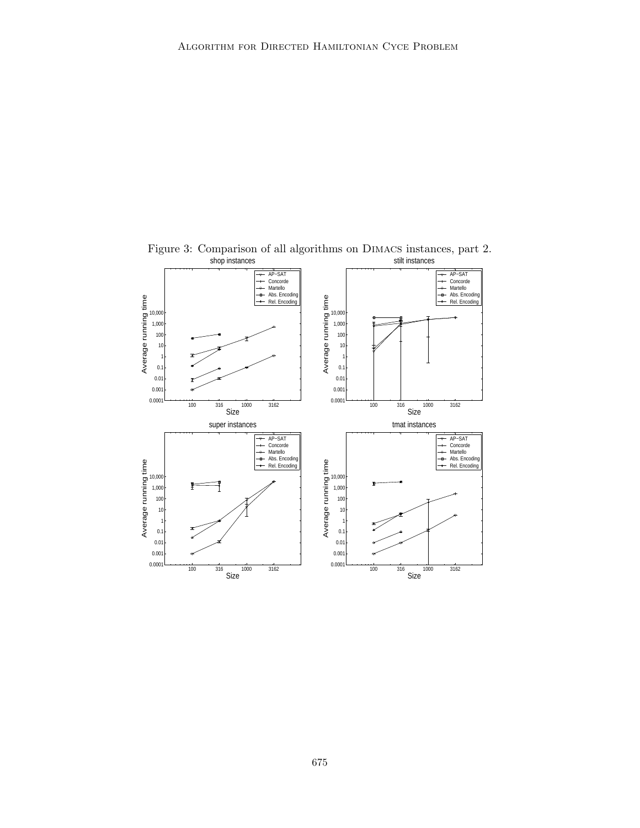

Figure 3: Comparison of all algorithms on Dimacs instances, part 2.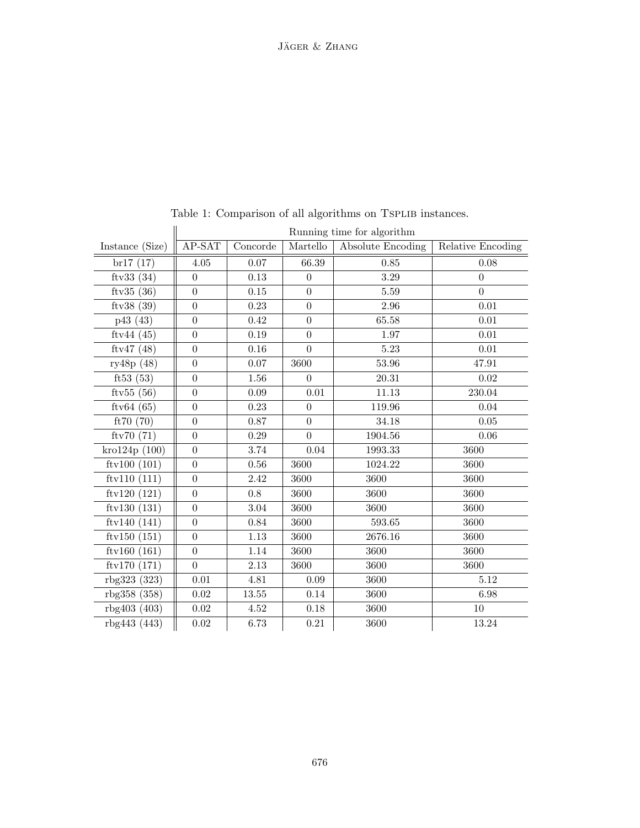|                 | Running time for algorithm |           |                |                   |                   |  |  |
|-----------------|----------------------------|-----------|----------------|-------------------|-------------------|--|--|
| Instance (Size) | AP-SAT                     | Concorde  | Martello       | Absolute Encoding | Relative Encoding |  |  |
| br17(17)        | 4.05                       | 0.07      | 66.39          | 0.85              | 0.08              |  |  |
| ftv33 $(34)$    | $\boldsymbol{0}$           | 0.13      | $\theta$       | 3.29              | $\boldsymbol{0}$  |  |  |
| ftv $35(36)$    | $\overline{0}$             | 0.15      | $\overline{0}$ | 5.59              | $\overline{0}$    |  |  |
| ftv38 $(39)$    | $\overline{0}$             | 0.23      | $\Omega$       | 2.96              | 0.01              |  |  |
| p43(43)         | $\boldsymbol{0}$           | 0.42      | $\overline{0}$ | 65.58             | 0.01              |  |  |
| ftv44 $(45)$    | $\boldsymbol{0}$           | 0.19      | $\overline{0}$ | 1.97              | 0.01              |  |  |
| ftv47 $(48)$    | $\boldsymbol{0}$           | 0.16      | $\overline{0}$ | 5.23              | 0.01              |  |  |
| ry48p (48)      | $\boldsymbol{0}$           | 0.07      | 3600           | 53.96             | 47.91             |  |  |
| ft53 $(53)$     | $\overline{0}$             | 1.56      | $\overline{0}$ | 20.31             | 0.02              |  |  |
| ftv $55(56)$    | $\overline{0}$             | 0.09      | 0.01           | 11.13             | 230.04            |  |  |
| ftv $64(65)$    | $\overline{0}$             | 0.23      | $\overline{0}$ | 119.96            | 0.04              |  |  |
| ft70 (70)       | $\boldsymbol{0}$           | 0.87      | $\overline{0}$ | 34.18             | 0.05              |  |  |
| ftv70(71)       | $\overline{0}$             | 0.29      | $\overline{0}$ | 1904.56           | 0.06              |  |  |
| kro124p(100)    | $\boldsymbol{0}$           | $3.74\,$  | 0.04           | 1993.33           | 3600              |  |  |
| ftv100 $(101)$  | $\boldsymbol{0}$           | 0.56      | 3600           | 1024.22           | 3600              |  |  |
| ftv110 $(111)$  | $\overline{0}$             | 2.42      | 3600           | 3600              | 3600              |  |  |
| ftv120 $(121)$  | $\boldsymbol{0}$           | 0.8       | 3600           | 3600              | 3600              |  |  |
| ftv130 $(131)$  | $\boldsymbol{0}$           | 3.04      | 3600           | 3600              | 3600              |  |  |
| ftv140 $(141)$  | $\overline{0}$             | 0.84      | 3600           | 593.65            | 3600              |  |  |
| ftv150 $(151)$  | $\overline{0}$             | 1.13      | 3600           | 2676.16           | 3600              |  |  |
| ftv160 $(161)$  | $\overline{0}$             | 1.14      | 3600           | 3600              | 3600              |  |  |
| ftv170 $(171)$  | $\overline{0}$             | 2.13      | 3600           | 3600              | 3600              |  |  |
| rbg323 (323)    | 0.01                       | 4.81      | 0.09           | 3600              | 5.12              |  |  |
| rbg358 (358)    | 0.02                       | $13.55\,$ | 0.14           | 3600              | 6.98              |  |  |
| rbg403(403)     | 0.02                       | 4.52      | 0.18           | 3600              | 10                |  |  |
| rbg443 (443)    | 0.02                       | 6.73      | 0.21           | 3600              | 13.24             |  |  |

Table 1: Comparison of all algorithms on TSPLIB instances.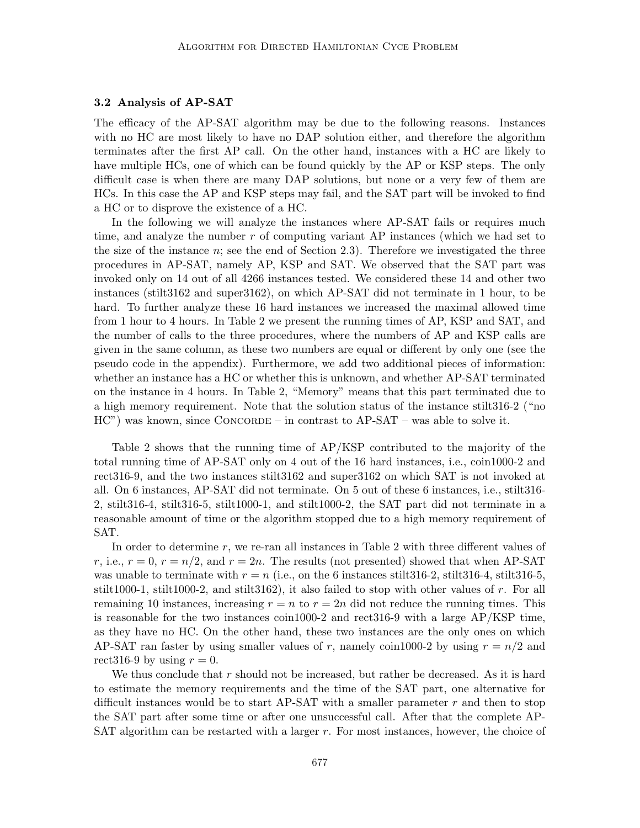#### 3.2 Analysis of AP-SAT

The efficacy of the AP-SAT algorithm may be due to the following reasons. Instances with no HC are most likely to have no DAP solution either, and therefore the algorithm terminates after the first AP call. On the other hand, instances with a HC are likely to have multiple HCs, one of which can be found quickly by the AP or KSP steps. The only difficult case is when there are many DAP solutions, but none or a very few of them are HCs. In this case the AP and KSP steps may fail, and the SAT part will be invoked to find a HC or to disprove the existence of a HC.

In the following we will analyze the instances where AP-SAT fails or requires much time, and analyze the number r of computing variant AP instances (which we had set to the size of the instance  $n$ ; see the end of Section 2.3). Therefore we investigated the three procedures in AP-SAT, namely AP, KSP and SAT. We observed that the SAT part was invoked only on 14 out of all 4266 instances tested. We considered these 14 and other two instances (stilt3162 and super3162), on which AP-SAT did not terminate in 1 hour, to be hard. To further analyze these 16 hard instances we increased the maximal allowed time from 1 hour to 4 hours. In Table 2 we present the running times of AP, KSP and SAT, and the number of calls to the three procedures, where the numbers of AP and KSP calls are given in the same column, as these two numbers are equal or different by only one (see the pseudo code in the appendix). Furthermore, we add two additional pieces of information: whether an instance has a HC or whether this is unknown, and whether AP-SAT terminated on the instance in 4 hours. In Table 2, "Memory" means that this part terminated due to a high memory requirement. Note that the solution status of the instance stilt316-2 ("no  $HC''$ ) was known, since CONCORDE – in contrast to  $AP-SAT$  – was able to solve it.

Table 2 shows that the running time of AP/KSP contributed to the majority of the total running time of AP-SAT only on 4 out of the 16 hard instances, i.e., coin1000-2 and rect316-9, and the two instances stilt3162 and super3162 on which SAT is not invoked at all. On 6 instances, AP-SAT did not terminate. On 5 out of these 6 instances, i.e., stilt316- 2, stilt316-4, stilt316-5, stilt1000-1, and stilt1000-2, the SAT part did not terminate in a reasonable amount of time or the algorithm stopped due to a high memory requirement of SAT.

In order to determine  $r$ , we re-ran all instances in Table 2 with three different values of r, i.e.,  $r = 0$ ,  $r = n/2$ , and  $r = 2n$ . The results (not presented) showed that when AP-SAT was unable to terminate with  $r = n$  (i.e., on the 6 instances stilt 316-2, stilt 316-4, stilt 316-5, stilt1000-1, stilt1000-2, and stilt3162), it also failed to stop with other values of r. For all remaining 10 instances, increasing  $r = n$  to  $r = 2n$  did not reduce the running times. This is reasonable for the two instances coin1000-2 and rect316-9 with a large AP/KSP time, as they have no HC. On the other hand, these two instances are the only ones on which AP-SAT ran faster by using smaller values of r, namely coin 1000-2 by using  $r = n/2$  and rect316-9 by using  $r = 0$ .

We thus conclude that  $r$  should not be increased, but rather be decreased. As it is hard to estimate the memory requirements and the time of the SAT part, one alternative for difficult instances would be to start AP-SAT with a smaller parameter  $r$  and then to stop the SAT part after some time or after one unsuccessful call. After that the complete AP-SAT algorithm can be restarted with a larger  $r$ . For most instances, however, the choice of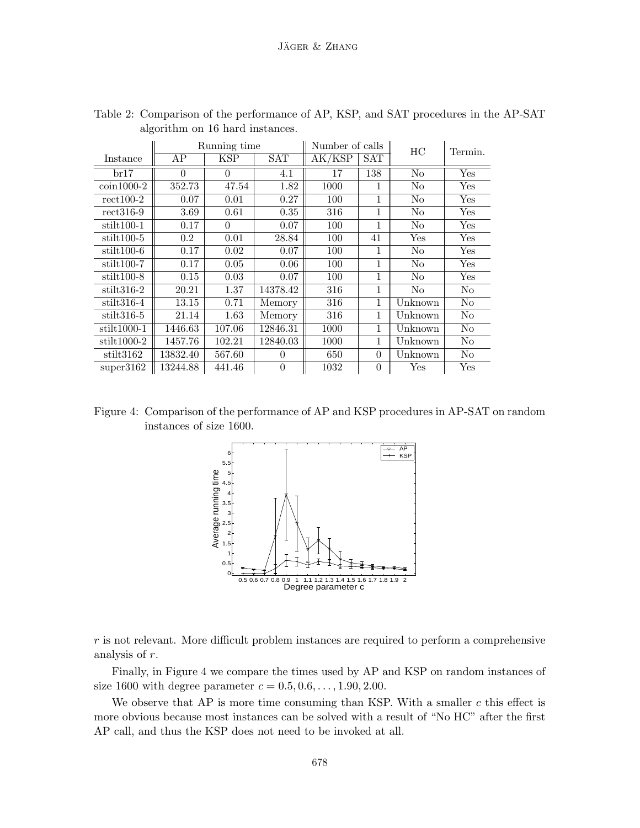|                      | Running time |          |            | Number of calls |              | HС             | Termin. |
|----------------------|--------------|----------|------------|-----------------|--------------|----------------|---------|
| Instance             | AP           | KSP      | <b>SAT</b> | AK/KSP          | SAT          |                |         |
| br17                 | $\Omega$     | $\Omega$ | 4.1        | 17              | 138          | N <sub>o</sub> | Yes     |
| $\coin 1000-2$       | 352.73       | 47.54    | 1.82       | 1000            | 1            | N <sub>o</sub> | Yes     |
| $rect100-2$          | 0.07         | 0.01     | 0.27       | 100             | 1            | No             | Yes     |
| $rect316-9$          | 3.69         | 0.61     | 0.35       | 316             | $\mathbf{1}$ | No             | Yes     |
| $\text{stilt}100-1$  | 0.17         | $\theta$ | 0.07       | 100             | $\mathbf{1}$ | No             | Yes     |
| $\text{stilt}100-5$  | $0.2\,$      | 0.01     | 28.84      | 100             | 41           | Yes            | Yes     |
| $stit100-6$          | 0.17         | 0.02     | 0.07       | 100             | 1            | No             | Yes     |
| $stit100-7$          | 0.17         | 0.05     | 0.06       | 100             | $\mathbf{1}$ | No             | Yes     |
| $stit100-8$          | 0.15         | 0.03     | 0.07       | 100             | $\mathbf{1}$ | No             | Yes     |
| $\text{stilt}316-2$  | 20.21        | 1.37     | 14378.42   | 316             | $\mathbf{1}$ | No             | No      |
| $\text{stilt}316-4$  | 13.15        | 0.71     | Memory     | 316             | $\mathbf{1}$ | Unknown        | No      |
| $\text{stilt}316-5$  | 21.14        | 1.63     | Memory     | 316             | $\mathbf{1}$ | Unknown        | No      |
| $stit1000-1$         | 1446.63      | 107.06   | 12846.31   | 1000            | $\mathbf{1}$ | Unknown        | No      |
| $\text{stilt}1000-2$ | 1457.76      | 102.21   | 12840.03   | 1000            | $\mathbf{1}$ | Unknown        | No      |
| $\text{stilt}3162$   | 13832.40     | 567.60   | 0          | 650             | $\Omega$     | Unknown        | No      |
| super3162            | 13244.88     | 441.46   | $\theta$   | 1032            | $\theta$     | Yes            | Yes     |

Table 2: Comparison of the performance of AP, KSP, and SAT procedures in the AP-SAT algorithm on 16 hard instances.

Figure 4: Comparison of the performance of AP and KSP procedures in AP-SAT on random instances of size 1600.



r is not relevant. More difficult problem instances are required to perform a comprehensive analysis of r.

Finally, in Figure 4 we compare the times used by AP and KSP on random instances of size 1600 with degree parameter  $c = 0.5, 0.6, ..., 1.90, 2.00$ .

We observe that  $AP$  is more time consuming than KSP. With a smaller  $c$  this effect is more obvious because most instances can be solved with a result of "No HC" after the first AP call, and thus the KSP does not need to be invoked at all.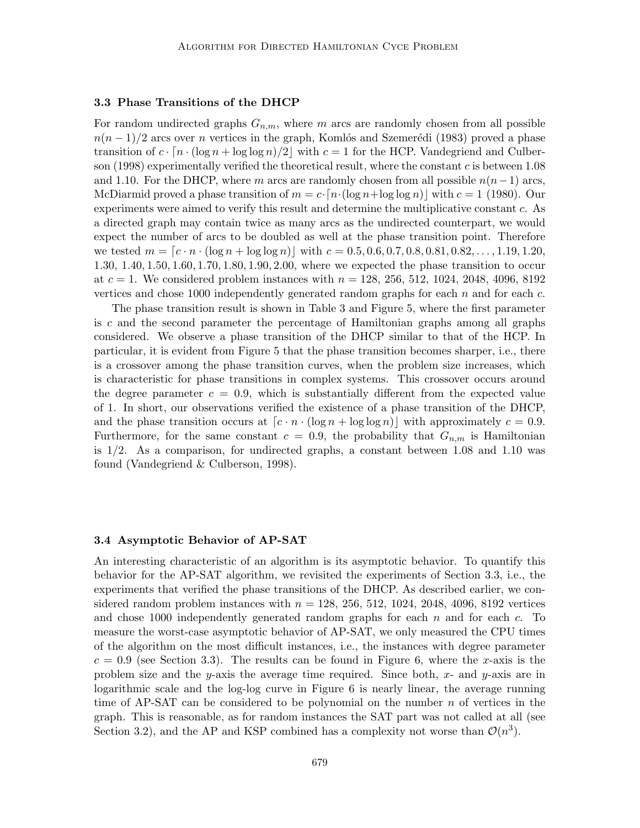### 3.3 Phase Transitions of the DHCP

For random undirected graphs  $G_{n,m}$ , where m arcs are randomly chosen from all possible  $n(n-1)/2$  arcs over n vertices in the graph, Komlós and Szemerédi (1983) proved a phase transition of  $c \cdot [n \cdot (\log n + \log \log n)/2]$  with  $c = 1$  for the HCP. Vandegriend and Culberson (1998) experimentally verified the theoretical result, where the constant  $c$  is between 1.08 and 1.10. For the DHCP, where m arcs are randomly chosen from all possible  $n(n-1)$  arcs, McDiarmid proved a phase transition of  $m = c \cdot [n \cdot (\log n + \log \log n)]$  with  $c = 1$  (1980). Our experiments were aimed to verify this result and determine the multiplicative constant c. As a directed graph may contain twice as many arcs as the undirected counterpart, we would expect the number of arcs to be doubled as well at the phase transition point. Therefore we tested  $m = [c \cdot n \cdot (\log n + \log \log n)]$  with  $c = 0.5, 0.6, 0.7, 0.8, 0.81, 0.82, \ldots, 1.19, 1.20$ , 1.30, 1.40, 1.50, 1.60, 1.70, 1.80, 1.90, 2.00, where we expected the phase transition to occur at  $c = 1$ . We considered problem instances with  $n = 128, 256, 512, 1024, 2048, 4096, 8192$ vertices and chose 1000 independently generated random graphs for each  $n$  and for each  $c$ .

The phase transition result is shown in Table 3 and Figure 5, where the first parameter is c and the second parameter the percentage of Hamiltonian graphs among all graphs considered. We observe a phase transition of the DHCP similar to that of the HCP. In particular, it is evident from Figure 5 that the phase transition becomes sharper, i.e., there is a crossover among the phase transition curves, when the problem size increases, which is characteristic for phase transitions in complex systems. This crossover occurs around the degree parameter  $c = 0.9$ , which is substantially different from the expected value of 1. In short, our observations verified the existence of a phase transition of the DHCP, and the phase transition occurs at  $\lceil c \cdot n \cdot (\log n + \log \log n) \rceil$  with approximately  $c = 0.9$ . Furthermore, for the same constant  $c = 0.9$ , the probability that  $G_{n,m}$  is Hamiltonian is 1/2. As a comparison, for undirected graphs, a constant between 1.08 and 1.10 was found (Vandegriend & Culberson, 1998).

#### 3.4 Asymptotic Behavior of AP-SAT

An interesting characteristic of an algorithm is its asymptotic behavior. To quantify this behavior for the AP-SAT algorithm, we revisited the experiments of Section 3.3, i.e., the experiments that verified the phase transitions of the DHCP. As described earlier, we considered random problem instances with  $n = 128, 256, 512, 1024, 2048, 4096, 8192$  vertices and chose 1000 independently generated random graphs for each  $n$  and for each  $c$ . To measure the worst-case asymptotic behavior of AP-SAT, we only measured the CPU times of the algorithm on the most difficult instances, i.e., the instances with degree parameter  $c = 0.9$  (see Section 3.3). The results can be found in Figure 6, where the x-axis is the problem size and the y-axis the average time required. Since both, x- and y-axis are in logarithmic scale and the log-log curve in Figure 6 is nearly linear, the average running time of AP-SAT can be considered to be polynomial on the number  $n$  of vertices in the graph. This is reasonable, as for random instances the SAT part was not called at all (see Section 3.2), and the AP and KSP combined has a complexity not worse than  $\mathcal{O}(n^3)$ .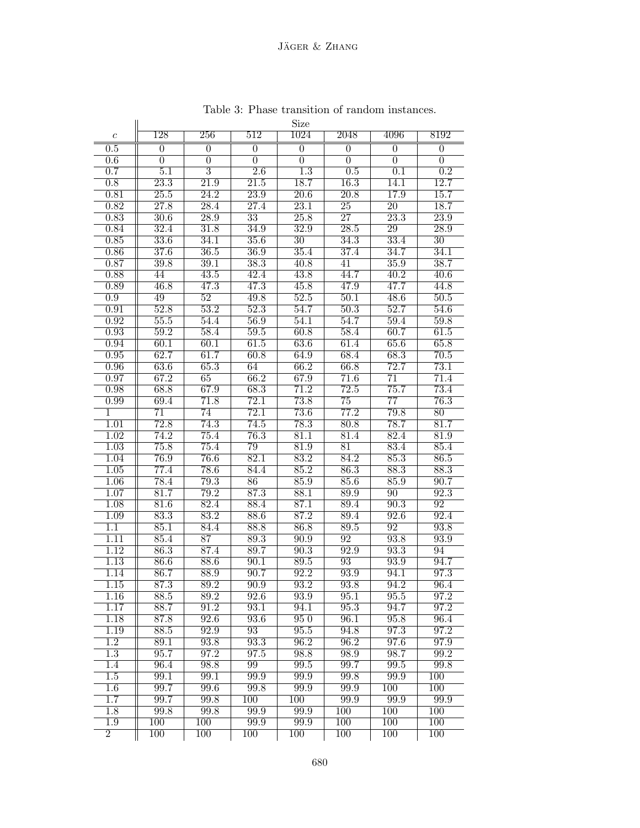|                           |                   |                   |                   | Size              |                   |                         |                   |
|---------------------------|-------------------|-------------------|-------------------|-------------------|-------------------|-------------------------|-------------------|
| $\boldsymbol{c}$          | $\overline{128}$  | 256               | 512               | 1024              | 2048              | 4096                    | 8192              |
| 0.5                       | $\theta$          | $\overline{0}$    | $\overline{0}$    | $\overline{0}$    | $\boldsymbol{0}$  | $\overline{0}$          | $\overline{0}$    |
| 0.6                       | 0                 | $\overline{0}$    | 0                 | 0                 | 0                 | 0                       | 0                 |
| 0.7                       | $\overline{5.1}$  | $\overline{3}$    | $\overline{2.6}$  | $\overline{1.3}$  | 0.5               | $\overline{0.1}$        | $\overline{0.2}$  |
| $\overline{0.8}$          | $\overline{23.3}$ | 21.9              | 21.5              | 18.7              | 16.3              | 14.1                    | 12.7              |
| 0.81                      | 25.5              | 24.2              | 23.9              | 20.6              | 20.8              | 17.9                    | $\overline{15.7}$ |
| 0.82                      | 27.8              | 28.4              | 27.4              | 23.1              | $\overline{25}$   | $\overline{20}$         | 18.7              |
| 0.83                      | $\overline{30.6}$ | $\overline{28.9}$ | $\overline{33}$   | 25.8              | $\overline{27}$   | $\overline{23.3}$       | $\overline{23.9}$ |
| 0.84                      | 32.4              | 31.8              | 34.9              | 32.9              | 28.5              | 29                      | 28.9              |
| 0.85                      | 33.6              | 34.1              | 35.6              | $30\,$            | 34.3              | 33.4                    | 30                |
| 0.86                      | 37.6              | 36.5              | $\overline{36.9}$ | 35.4              | 37.4              | 34.7                    | 34.1              |
| 0.87                      | 39.8              | $\overline{39.1}$ | $\overline{38.3}$ | 40.8              | 41                | 35.9                    | 38.7              |
| 0.88                      | 44                | 43.5              | 42.4              | 43.8              | 44.7              | $\overline{40.2}$       | 40.6              |
| 0.89                      | 46.8              | 47.3              | 47.3              | 45.8              | 47.9              | 47.7                    | 44.8              |
| $\overline{0.9}$          | 49                | $\overline{52}$   | 49.8              | 52.5              | 50.1              | 48.6                    | 50.5              |
| 0.91                      | 52.8              | 53.2              | 52.3              | 54.7              | $\overline{50.3}$ | 52.7                    | 54.6              |
| 0.92                      | 55.5              | 54.4              | 56.9              | 54.1              | 54.7              | 59.4                    | 59.8              |
| 0.93                      | 59.2              | 58.4              | 59.5              | 60.8              | 58.4              | 60.7                    | 61.5              |
| 0.94                      | 60.1              | 60.1              | 61.5              | 63.6              | 61.4              | 65.6                    | 65.8              |
| 0.95                      | 62.7              | 61.7              | 60.8              | 64.9              | $\overline{68.4}$ | 68.3                    | $\overline{70.5}$ |
| 0.96                      | 63.6<br>67.2      | 65.3<br>65        | 64<br>66.2        | 66.2<br>67.9      | 66.8<br>71.6      | 72.7                    | 73.1<br>71.4      |
| 0.97<br>$\overline{0.98}$ | 68.8              | 67.9              | 68.3              | $\overline{71.2}$ | 72.5              | $\overline{71}$<br>75.7 | 73.4              |
| 0.99                      | 69.4              | 71.8              | 72.1              | 73.8              | 75                | $\overline{77}$         | 76.3              |
| $\mathbf{1}$              | $\overline{71}$   | 74                | 72.1              | 73.6              | 77.2              | 79.8                    | $\overline{80}$   |
| 1.01                      | 72.8              | 74.3              | 74.5              | $\overline{78.3}$ | 80.8              | $\overline{78.7}$       | 81.7              |
| 1.02                      | 74.2              | 75.4              | $\overline{76.3}$ | 81.1              | 81.4              | 82.4                    | 81.9              |
| 1.03                      | 75.8              | 75.4              | 79                | 81.9              | 81                | 83.4                    | 85.4              |
| 1.04                      | 76.9              | 76.6              | 82.1              | 83.2              | 84.2              | 85.3                    | 86.5              |
| 1.05                      | 77.4              | 78.6              | 84.4              | 85.2              | 86.3              | 88.3                    | 88.3              |
| $\overline{1.06}$         | 78.4              | 79.3              | $\overline{86}$   | 85.9              | 85.6              | 85.9                    | 90.7              |
| 1.07                      | 81.7              | 79.2              | 87.3              | 88.1              | 89.9              | 90                      | 92.3              |
| 1.08                      | 81.6              | 82.4              | 88.4              | 87.1              | 89.4              | 90.3                    | $\overline{92}$   |
| 1.09                      | 83.3              | 83.2              | 88.6              | 87.2              | 89.4              | 92.6                    | 92.4              |
| $\overline{1.1}$          | 85.1              | 84.4              | 88.8              | 86.8              | 89.5              | 92                      | 93.8              |
| 1.11                      | 85.4              | $\overline{87}$   | 89.3              | 90.9              | 92                | 93.8                    | 93.9              |
| 1.12                      | 86.3              | 87.4              | 89.7              | 90.3              | 92.9              | 93.3                    | 94                |
| $\overline{1.13}$         | 86.6              | 88.6              | 90.1              | 89.5              | $\overline{93}$   | 93.9                    | 94.7              |
| 1.14                      | 86.7              | 88.9              | 90.7              | 92.2              | 93.9              | 94.1                    | 97.3              |
| 1.15                      | 87.3              | 89.2              | 90.9              | 93.2              | 93.8              | 94.2                    | 96.4              |
| 1.16                      | 88.5              | 89.2              | 92.6              | 93.9              | 95.1              | 95.5                    | 97.2              |
| 1.17                      | 88.7              | 91.2              | 93.1              | 94.1              | 95.3              | 94.7                    | 97.2              |
| 1.18                      | 87.8              | 92.6              | 93.6              | 950               | 96.1              | 95.8                    | 96.4              |
| 1.19                      | 88.5              | 92.9              | $\overline{93}$   | 95.5              | 94.8              | 97.3                    | 97.2              |
| $\overline{1.2}$          | 89.1              | 93.8              | 93.3              | 96.2              | 96.2              | 97.6                    | 97.9              |
| 1.3                       | 95.7              | 97.2              | 97.5              | 98.8              | 98.9              | 98.7                    | 99.2              |
| 1.4                       | 96.4              | 98.8              | 99                | 99.5              | 99.7              | 99.5                    | 99.8              |
| $\overline{1.5}$          | 99.1              | 99.1              | 99.9              | 99.9              | 99.8              | 99.9                    | $\overline{100}$  |
| 1.6                       | 99.7              | 99.6              | 99.8              | 99.9              | 99.9              | $\overline{100}$        | 100               |
| 1.7                       | 99.7              | 99.8              | 100               | 100               | 99.9              | 99.9                    | 99.9              |
| 1.8                       | 99.8              | 99.8              | 99.9              | 99.9              | $\overline{100}$  | $\overline{100}$        | $\overline{100}$  |
| 1.9                       | 100               | 100               | 99.9              | 99.9              | 100               | 100                     | 100               |
| $\overline{2}$            | 100               | 100               | 100               | 100               | 100               | 100                     | 100               |

Table 3: Phase transition of random instances.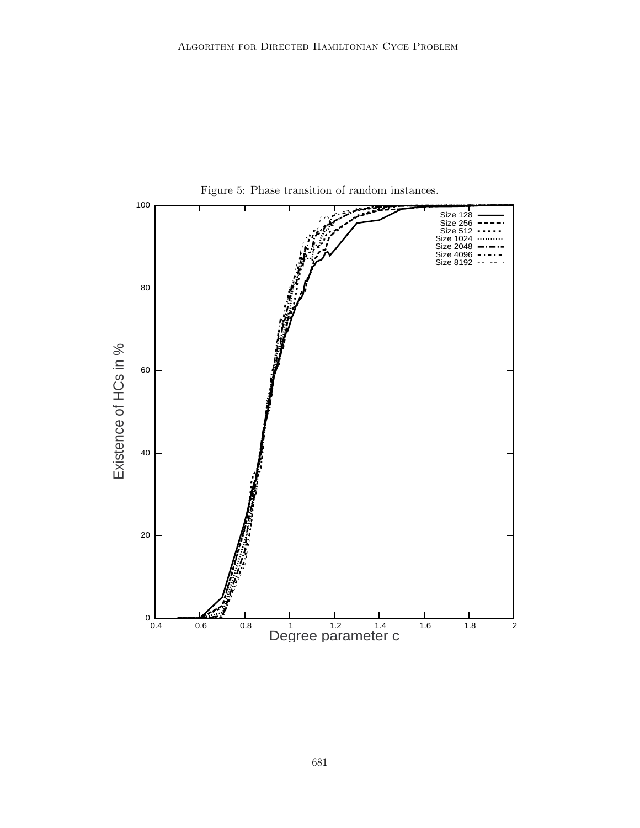

681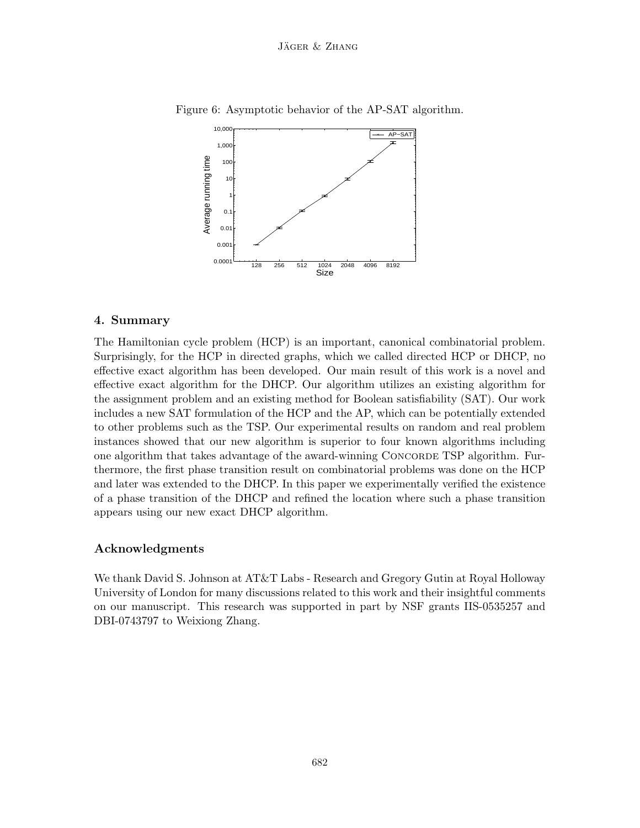

Figure 6: Asymptotic behavior of the AP-SAT algorithm.

# 4. Summary

The Hamiltonian cycle problem (HCP) is an important, canonical combinatorial problem. Surprisingly, for the HCP in directed graphs, which we called directed HCP or DHCP, no effective exact algorithm has been developed. Our main result of this work is a novel and effective exact algorithm for the DHCP. Our algorithm utilizes an existing algorithm for the assignment problem and an existing method for Boolean satisfiability (SAT). Our work includes a new SAT formulation of the HCP and the AP, which can be potentially extended to other problems such as the TSP. Our experimental results on random and real problem instances showed that our new algorithm is superior to four known algorithms including one algorithm that takes advantage of the award-winning Concorde TSP algorithm. Furthermore, the first phase transition result on combinatorial problems was done on the HCP and later was extended to the DHCP. In this paper we experimentally verified the existence of a phase transition of the DHCP and refined the location where such a phase transition appears using our new exact DHCP algorithm.

# Acknowledgments

We thank David S. Johnson at AT&T Labs - Research and Gregory Gutin at Royal Holloway University of London for many discussions related to this work and their insightful comments on our manuscript. This research was supported in part by NSF grants IIS-0535257 and DBI-0743797 to Weixiong Zhang.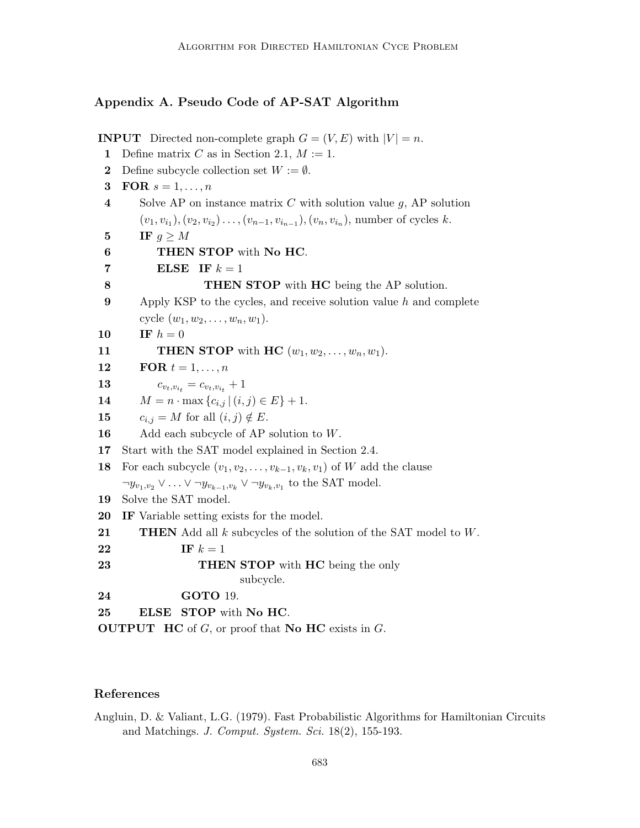# Appendix A. Pseudo Code of AP-SAT Algorithm

**INPUT** Directed non-complete graph  $G = (V, E)$  with  $|V| = n$ . 1 Define matrix C as in Section 2.1,  $M := 1$ . 2 Define subcycle collection set  $W := \emptyset$ . 3 FOR  $s = 1, \ldots, n$ 4 Solve AP on instance matrix  $C$  with solution value  $g$ , AP solution  $(v_1, v_{i_1}), (v_2, v_{i_2}), \ldots, (v_{n-1}, v_{i_{n-1}}), (v_n, v_{i_n}),$  number of cycles k. 5 IF  $q \geq M$ 6 THEN STOP with No HC. 7 ELSE IF  $k = 1$ 8 THEN STOP with HC being the AP solution. 9 Apply KSP to the cycles, and receive solution value h and complete cycle  $(w_1, w_2, \ldots, w_n, w_1)$ . 10 IF  $h = 0$ 11 **THEN STOP** with HC  $(w_1, w_2, \ldots, w_n, w_1)$ . 12 FOR  $t = 1, \ldots, n$ **13**  $c_{v_t,v_{i_t}} = c_{v_t,v_{i_t}} + 1$ 14  $M = n \cdot \max\{c_{i,j} | (i,j) \in E\} + 1.$ 15  $c_{i,j} = M$  for all  $(i,j) \notin E$ . 16 Add each subcycle of AP solution to  $W$ . 17 Start with the SAT model explained in Section 2.4. 18 For each subcycle  $(v_1, v_2, \ldots, v_{k-1}, v_k, v_1)$  of W add the clause  $\neg y_{v_1,v_2} \lor \ldots \lor \neg y_{v_{k-1},v_k} \lor \neg y_{v_k,v_1}$  to the SAT model. 19 Solve the SAT model. 20 IF Variable setting exists for the model. **21** THEN Add all k subcycles of the solution of the SAT model to  $W$ . 22 IF  $k = 1$ 23 THEN STOP with HC being the only subcycle. 24 GOTO 19. 25 ELSE STOP with No HC. **OUTPUT** HC of  $G$ , or proof that **No HC** exists in  $G$ .

# References

Angluin, D. & Valiant, L.G. (1979). Fast Probabilistic Algorithms for Hamiltonian Circuits and Matchings. J. Comput. System. Sci. 18(2), 155-193.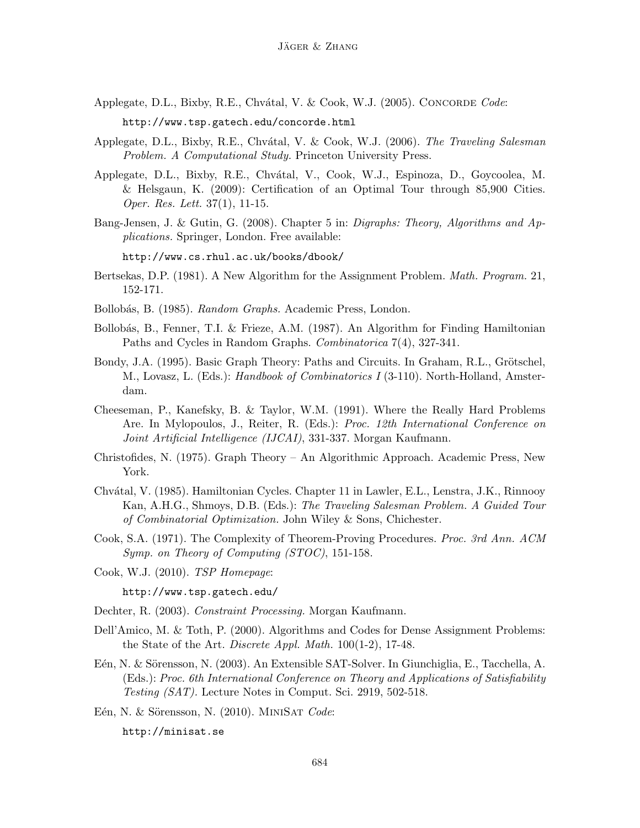- Applegate, D.L., Bixby, R.E., Chvátal, V. & Cook, W.J. (2005). CONCORDE Code: http://www.tsp.gatech.edu/concorde.html
- Applegate, D.L., Bixby, R.E., Chvátal, V. & Cook, W.J. (2006). The Traveling Salesman Problem. A Computational Study. Princeton University Press.
- Applegate, D.L., Bixby, R.E., Chv´atal, V., Cook, W.J., Espinoza, D., Goycoolea, M. & Helsgaun, K. (2009): Certification of an Optimal Tour through 85,900 Cities. Oper. Res. Lett. 37(1), 11-15.
- Bang-Jensen, J. & Gutin, G. (2008). Chapter 5 in: Digraphs: Theory, Algorithms and Applications. Springer, London. Free available:

http://www.cs.rhul.ac.uk/books/dbook/

- Bertsekas, D.P. (1981). A New Algorithm for the Assignment Problem. Math. Program. 21, 152-171.
- Bollobás, B. (1985). Random Graphs. Academic Press, London.
- Bollob´as, B., Fenner, T.I. & Frieze, A.M. (1987). An Algorithm for Finding Hamiltonian Paths and Cycles in Random Graphs. Combinatorica 7(4), 327-341.
- Bondy, J.A. (1995). Basic Graph Theory: Paths and Circuits. In Graham, R.L., Grötschel, M., Lovasz, L. (Eds.): Handbook of Combinatorics I (3-110). North-Holland, Amsterdam.
- Cheeseman, P., Kanefsky, B. & Taylor, W.M. (1991). Where the Really Hard Problems Are. In Mylopoulos, J., Reiter, R. (Eds.): Proc. 12th International Conference on Joint Artificial Intelligence (IJCAI), 331-337. Morgan Kaufmann.
- Christofides, N. (1975). Graph Theory An Algorithmic Approach. Academic Press, New York.
- Chv´atal, V. (1985). Hamiltonian Cycles. Chapter 11 in Lawler, E.L., Lenstra, J.K., Rinnooy Kan, A.H.G., Shmoys, D.B. (Eds.): The Traveling Salesman Problem. A Guided Tour of Combinatorial Optimization. John Wiley & Sons, Chichester.
- Cook, S.A. (1971). The Complexity of Theorem-Proving Procedures. Proc. 3rd Ann. ACM Symp. on Theory of Computing (STOC), 151-158.
- Cook, W.J. (2010). TSP Homepage:

http://www.tsp.gatech.edu/

Dechter, R. (2003). Constraint Processing. Morgan Kaufmann.

- Dell'Amico, M. & Toth, P. (2000). Algorithms and Codes for Dense Assignment Problems: the State of the Art. Discrete Appl. Math. 100(1-2), 17-48.
- E'en, N. & Sörensson, N. (2003). An Extensible SAT-Solver. In Giunchiglia, E., Tacchella, A. (Eds.): Proc. 6th International Conference on Theory and Applications of Satisfiability Testing (SAT). Lecture Notes in Comput. Sci. 2919, 502-518.

Eén, N. & Sörensson, N. (2010). MINISAT Code:

http://minisat.se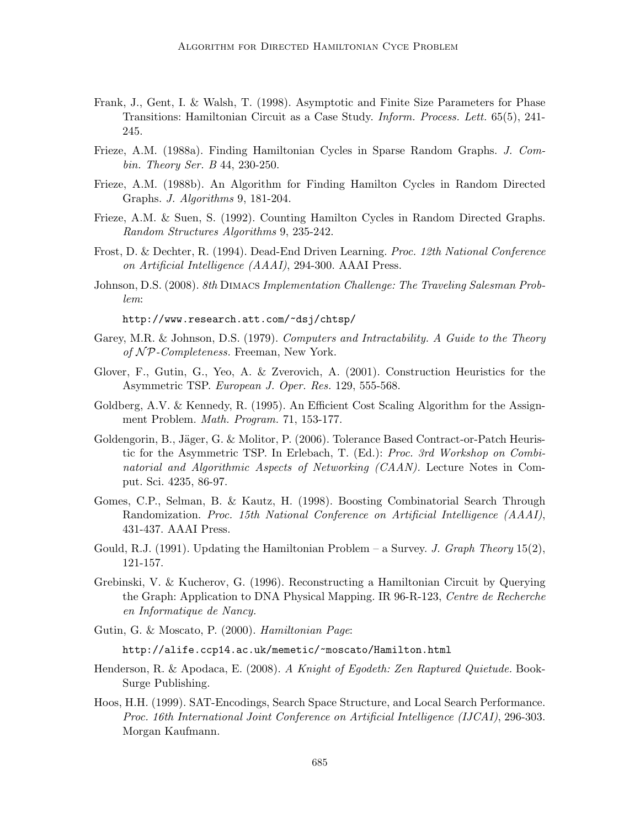- Frank, J., Gent, I. & Walsh, T. (1998). Asymptotic and Finite Size Parameters for Phase Transitions: Hamiltonian Circuit as a Case Study. Inform. Process. Lett. 65(5), 241- 245.
- Frieze, A.M. (1988a). Finding Hamiltonian Cycles in Sparse Random Graphs. J. Combin. Theory Ser. B 44, 230-250.
- Frieze, A.M. (1988b). An Algorithm for Finding Hamilton Cycles in Random Directed Graphs. J. Algorithms 9, 181-204.
- Frieze, A.M. & Suen, S. (1992). Counting Hamilton Cycles in Random Directed Graphs. Random Structures Algorithms 9, 235-242.
- Frost, D. & Dechter, R. (1994). Dead-End Driven Learning. Proc. 12th National Conference on Artificial Intelligence (AAAI), 294-300. AAAI Press.
- Johnson, D.S. (2008). 8th Dimacs Implementation Challenge: The Traveling Salesman Problem:

http://www.research.att.com/~dsj/chtsp/

- Garey, M.R. & Johnson, D.S. (1979). Computers and Intractability. A Guide to the Theory of  $\mathcal{NP}$ -Completeness. Freeman, New York.
- Glover, F., Gutin, G., Yeo, A. & Zverovich, A. (2001). Construction Heuristics for the Asymmetric TSP. European J. Oper. Res. 129, 555-568.
- Goldberg, A.V. & Kennedy, R. (1995). An Efficient Cost Scaling Algorithm for the Assignment Problem. Math. Program. 71, 153-177.
- Goldengorin, B., Jäger, G. & Molitor, P. (2006). Tolerance Based Contract-or-Patch Heuristic for the Asymmetric TSP. In Erlebach, T. (Ed.): Proc. 3rd Workshop on Combinatorial and Algorithmic Aspects of Networking (CAAN). Lecture Notes in Comput. Sci. 4235, 86-97.
- Gomes, C.P., Selman, B. & Kautz, H. (1998). Boosting Combinatorial Search Through Randomization. Proc. 15th National Conference on Artificial Intelligence (AAAI), 431-437. AAAI Press.
- Gould, R.J. (1991). Updating the Hamiltonian Problem a Survey. J. Graph Theory 15(2), 121-157.
- Grebinski, V. & Kucherov, G. (1996). Reconstructing a Hamiltonian Circuit by Querying the Graph: Application to DNA Physical Mapping. IR 96-R-123, Centre de Recherche en Informatique de Nancy.
- Gutin, G. & Moscato, P. (2000). Hamiltonian Page:

http://alife.ccp14.ac.uk/memetic/~moscato/Hamilton.html

- Henderson, R. & Apodaca, E. (2008). A Knight of Egodeth: Zen Raptured Quietude. Book-Surge Publishing.
- Hoos, H.H. (1999). SAT-Encodings, Search Space Structure, and Local Search Performance. Proc. 16th International Joint Conference on Artificial Intelligence (IJCAI), 296-303. Morgan Kaufmann.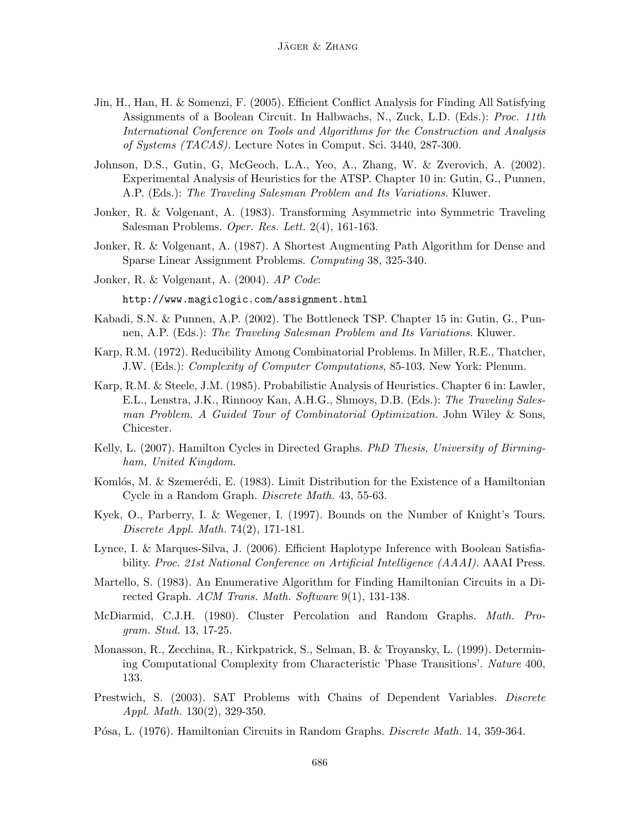- Jin, H., Han, H. & Somenzi, F. (2005). Efficient Conflict Analysis for Finding All Satisfying Assignments of a Boolean Circuit. In Halbwachs, N., Zuck, L.D. (Eds.): Proc. 11th International Conference on Tools and Algorithms for the Construction and Analysis of Systems (TACAS). Lecture Notes in Comput. Sci. 3440, 287-300.
- Johnson, D.S., Gutin, G, McGeoch, L.A., Yeo, A., Zhang, W. & Zverovich, A. (2002). Experimental Analysis of Heuristics for the ATSP. Chapter 10 in: Gutin, G., Punnen, A.P. (Eds.): The Traveling Salesman Problem and Its Variations. Kluwer.
- Jonker, R. & Volgenant, A. (1983). Transforming Asymmetric into Symmetric Traveling Salesman Problems. Oper. Res. Lett. 2(4), 161-163.
- Jonker, R. & Volgenant, A. (1987). A Shortest Augmenting Path Algorithm for Dense and Sparse Linear Assignment Problems. Computing 38, 325-340.
- Jonker, R. & Volgenant, A. (2004). AP Code:

http://www.magiclogic.com/assignment.html

- Kabadi, S.N. & Punnen, A.P. (2002). The Bottleneck TSP. Chapter 15 in: Gutin, G., Punnen, A.P. (Eds.): The Traveling Salesman Problem and Its Variations. Kluwer.
- Karp, R.M. (1972). Reducibility Among Combinatorial Problems. In Miller, R.E., Thatcher, J.W. (Eds.): Complexity of Computer Computations, 85-103. New York: Plenum.
- Karp, R.M. & Steele, J.M. (1985). Probabilistic Analysis of Heuristics. Chapter 6 in: Lawler, E.L., Lenstra, J.K., Rinnooy Kan, A.H.G., Shmoys, D.B. (Eds.): The Traveling Salesman Problem. A Guided Tour of Combinatorial Optimization. John Wiley & Sons, Chicester.
- Kelly, L. (2007). Hamilton Cycles in Directed Graphs. PhD Thesis, University of Birmingham, United Kingdom.
- Komlós, M. & Szemerédi, E. (1983). Limit Distribution for the Existence of a Hamiltonian Cycle in a Random Graph. Discrete Math. 43, 55-63.
- Kyek, O., Parberry, I. & Wegener, I. (1997). Bounds on the Number of Knight's Tours. Discrete Appl. Math. 74(2), 171-181.
- Lynce, I. & Marques-Silva, J. (2006). Efficient Haplotype Inference with Boolean Satisfiability. Proc. 21st National Conference on Artificial Intelligence (AAAI). AAAI Press.
- Martello, S. (1983). An Enumerative Algorithm for Finding Hamiltonian Circuits in a Directed Graph. ACM Trans. Math. Software 9(1), 131-138.
- McDiarmid, C.J.H. (1980). Cluster Percolation and Random Graphs. Math. Program. Stud. 13, 17-25.
- Monasson, R., Zecchina, R., Kirkpatrick, S., Selman, B. & Troyansky, L. (1999). Determining Computational Complexity from Characteristic 'Phase Transitions'. Nature 400, 133.
- Prestwich, S. (2003). SAT Problems with Chains of Dependent Variables. Discrete Appl. Math. 130(2), 329-350.
- Pósa, L. (1976). Hamiltonian Circuits in Random Graphs. *Discrete Math.* 14, 359-364.